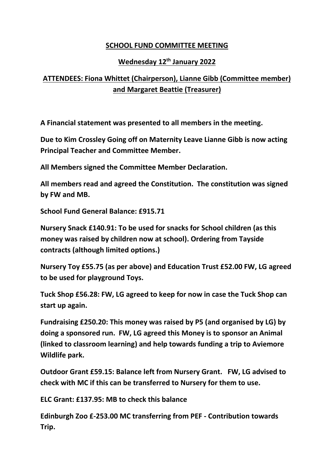## **SCHOOL FUND COMMITTEE MEETING**

## **Wednesday 12th January 2022**

## **ATTENDEES: Fiona Whittet (Chairperson), Lianne Gibb (Committee member) and Margaret Beattie (Treasurer)**

**A Financial statement was presented to all members in the meeting.**

**Due to Kim Crossley Going off on Maternity Leave Lianne Gibb is now acting Principal Teacher and Committee Member.**

**All Members signed the Committee Member Declaration.** 

**All members read and agreed the Constitution. The constitution was signed by FW and MB.**

**School Fund General Balance: £915.71**

**Nursery Snack £140.91: To be used for snacks for School children (as this money was raised by children now at school). Ordering from Tayside contracts (although limited options.)**

**Nursery Toy £55.75 (as per above) and Education Trust £52.00 FW, LG agreed to be used for playground Toys.**

**Tuck Shop £56.28: FW, LG agreed to keep for now in case the Tuck Shop can start up again.**

**Fundraising £250.20: This money was raised by P5 (and organised by LG) by doing a sponsored run. FW, LG agreed this Money is to sponsor an Animal (linked to classroom learning) and help towards funding a trip to Aviemore Wildlife park.**

**Outdoor Grant £59.15: Balance left from Nursery Grant. FW, LG advised to check with MC if this can be transferred to Nursery for them to use.**

**ELC Grant: £137.95: MB to check this balance** 

**Edinburgh Zoo £-253.00 MC transferring from PEF - Contribution towards Trip.**